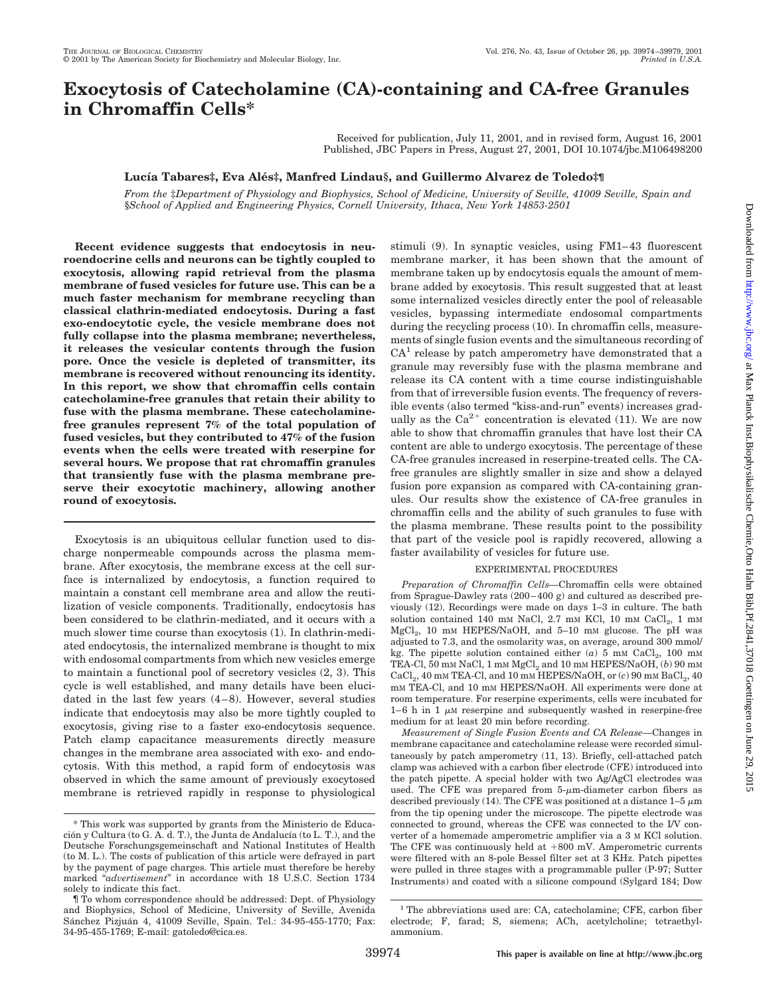# **Exocytosis of Catecholamine (CA)-containing and CA-free Granules in Chromaffin Cells\***

Received for publication, July 11, 2001, and in revised form, August 16, 2001 Published, JBC Papers in Press, August 27, 2001, DOI 10.1074/jbc.M106498200

## **Lucı´a Tabares‡, Eva Ale´s‡, Manfred Lindau§, and Guillermo Alvarez de Toledo‡¶**

*From the* ‡*Department of Physiology and Biophysics, School of Medicine, University of Seville, 41009 Seville, Spain and* §*School of Applied and Engineering Physics, Cornell University, Ithaca, New York 14853-2501*

**Recent evidence suggests that endocytosis in neuroendocrine cells and neurons can be tightly coupled to exocytosis, allowing rapid retrieval from the plasma membrane of fused vesicles for future use. This can be a much faster mechanism for membrane recycling than classical clathrin-mediated endocytosis. During a fast exo-endocytotic cycle, the vesicle membrane does not fully collapse into the plasma membrane; nevertheless, it releases the vesicular contents through the fusion pore. Once the vesicle is depleted of transmitter, its membrane is recovered without renouncing its identity. In this report, we show that chromaffin cells contain catecholamine-free granules that retain their ability to fuse with the plasma membrane. These catecholaminefree granules represent 7% of the total population of fused vesicles, but they contributed to 47% of the fusion events when the cells were treated with reserpine for several hours. We propose that rat chromaffin granules that transiently fuse with the plasma membrane preserve their exocytotic machinery, allowing another round of exocytosis.**

Exocytosis is an ubiquitous cellular function used to discharge nonpermeable compounds across the plasma membrane. After exocytosis, the membrane excess at the cell surface is internalized by endocytosis, a function required to maintain a constant cell membrane area and allow the reutilization of vesicle components. Traditionally, endocytosis has been considered to be clathrin-mediated, and it occurs with a much slower time course than exocytosis (1). In clathrin-mediated endocytosis, the internalized membrane is thought to mix with endosomal compartments from which new vesicles emerge to maintain a functional pool of secretory vesicles (2, 3). This cycle is well established, and many details have been elucidated in the last few years (4–8). However, several studies indicate that endocytosis may also be more tightly coupled to exocytosis, giving rise to a faster exo-endocytosis sequence. Patch clamp capacitance measurements directly measure changes in the membrane area associated with exo- and endocytosis. With this method, a rapid form of endocytosis was observed in which the same amount of previously exocytosed membrane is retrieved rapidly in response to physiological

stimuli (9). In synaptic vesicles, using FM1–43 fluorescent membrane marker, it has been shown that the amount of membrane taken up by endocytosis equals the amount of membrane added by exocytosis. This result suggested that at least some internalized vesicles directly enter the pool of releasable vesicles, bypassing intermediate endosomal compartments during the recycling process (10). In chromaffin cells, measurements of single fusion events and the simultaneous recording of  $CA<sup>1</sup>$  release by patch amperometry have demonstrated that a granule may reversibly fuse with the plasma membrane and release its CA content with a time course indistinguishable from that of irreversible fusion events. The frequency of reversible events (also termed "kiss-and-run" events) increases gradually as the  $Ca^{2+}$  concentration is elevated (11). We are now able to show that chromaffin granules that have lost their CA content are able to undergo exocytosis. The percentage of these CA-free granules increased in reserpine-treated cells. The CAfree granules are slightly smaller in size and show a delayed fusion pore expansion as compared with CA-containing granules. Our results show the existence of CA-free granules in chromaffin cells and the ability of such granules to fuse with the plasma membrane. These results point to the possibility that part of the vesicle pool is rapidly recovered, allowing a faster availability of vesicles for future use.

### EXPERIMENTAL PROCEDURES

*Preparation of Chromaffin Cells—*Chromaffin cells were obtained from Sprague-Dawley rats (200–400 g) and cultured as described previously (12). Recordings were made on days 1–3 in culture. The bath solution contained 140 mm NaCl, 2.7 mm KCl, 10 mm CaCl<sub>2</sub>, 1 mm MgCl<sub>2</sub>, 10 mM HEPES/NaOH, and 5-10 mM glucose. The pH was adjusted to 7.3, and the osmolarity was, on average, around 300 mmol/ kg. The pipette solution contained either  $(a)$  5 mm CaCl<sub>2</sub>, 100 mm TEA-Cl, 50 mm NaCl, 1 mm  $\mathrm{MgCl}_2$  and 10 mm HEPES/NaOH,  $(b)$  90 mm CaCl<sub>2</sub>, 40 mM TEA-Cl, and 10 mM HEPES/NaOH, or  $(c)$  90 mM BaCl<sub>2</sub>, 40 mM TEA-Cl, and 10 mM HEPES/NaOH. All experiments were done at room temperature. For reserpine experiments, cells were incubated for 1–6 h in 1  $\mu$ M reserpine and subsequently washed in reserpine-free medium for at least 20 min before recording.

*Measurement of Single Fusion Events and CA Release—*Changes in membrane capacitance and catecholamine release were recorded simultaneously by patch amperometry (11, 13). Briefly, cell-attached patch clamp was achieved with a carbon fiber electrode (CFE) introduced into the patch pipette. A special holder with two Ag/AgCl electrodes was used. The CFE was prepared from  $5\text{-}\mu\text{m}$ -diameter carbon fibers as described previously (14). The CFE was positioned at a distance  $1-5 \mu m$ from the tip opening under the microscope. The pipette electrode was connected to ground, whereas the CFE was connected to the I/V converter of a homemade amperometric amplifier via a 3 M KCl solution. The CFE was continuously held at  $+800$  mV. Amperometric currents were filtered with an 8-pole Bessel filter set at 3 KHz. Patch pipettes were pulled in three stages with a programmable puller (P-97; Sutter Instruments) and coated with a silicone compound (Sylgard 184; Dow

<sup>\*</sup> This work was supported by grants from the Ministerio de Educación y Cultura (to G. A. d. T.), the Junta de Andalucía (to L. T.), and the Deutsche Forschungsgemeinschaft and National Institutes of Health (to M. L.). The costs of publication of this article were defrayed in part by the payment of page charges. This article must therefore be hereby marked "*advertisement*" in accordance with 18 U.S.C. Section 1734 solely to indicate this fact.

<sup>¶</sup> To whom correspondence should be addressed: Dept. of Physiology and Biophysics, School of Medicine, University of Seville, Avenida Sánchez Pizjuán 4, 41009 Seville, Spain. Tel.: 34-95-455-1770; Fax: 34-95-455-1769; E-mail: gatoledo@cica.es.

<sup>&</sup>lt;sup>1</sup> The abbreviations used are: CA, catecholamine; CFE, carbon fiber electrode; F, farad; S, siemens; ACh, acetylcholine; tetraethylammonium.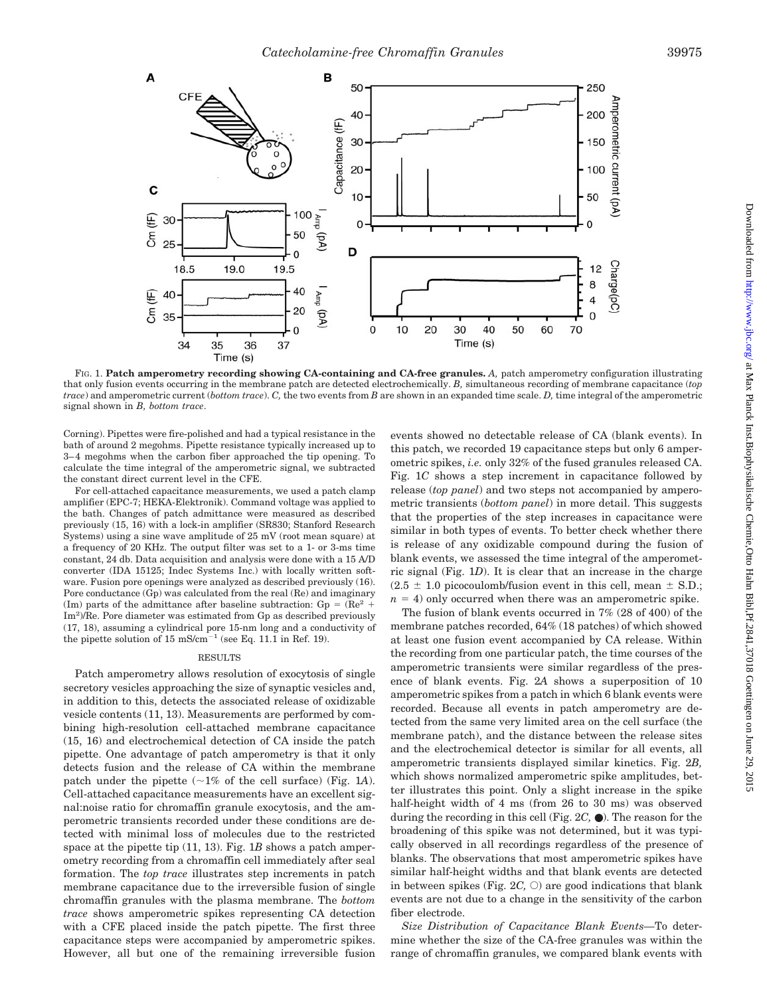

FIG. 1. **Patch amperometry recording showing CA-containing and CA-free granules.** *A,* patch amperometry configuration illustrating that only fusion events occurring in the membrane patch are detected electrochemically. *B,* simultaneous recording of membrane capacitance (*top trace*) and amperometric current (*bottom trace*). *C,* the two events from *B* are shown in an expanded time scale. *D,* time integral of the amperometric signal shown in *B, bottom trace*.

Corning). Pipettes were fire-polished and had a typical resistance in the bath of around 2 megohms. Pipette resistance typically increased up to 3–4 megohms when the carbon fiber approached the tip opening. To calculate the time integral of the amperometric signal, we subtracted the constant direct current level in the CFE.

For cell-attached capacitance measurements, we used a patch clamp amplifier (EPC-7; HEKA-Elektronik). Command voltage was applied to the bath. Changes of patch admittance were measured as described previously (15, 16) with a lock-in amplifier (SR830; Stanford Research Systems) using a sine wave amplitude of 25 mV (root mean square) at a frequency of 20 KHz. The output filter was set to a 1- or 3-ms time constant, 24 db. Data acquisition and analysis were done with a 15 A/D converter (IDA 15125; Indec Systems Inc.) with locally written software. Fusion pore openings were analyzed as described previously (16). Pore conductance (Gp) was calculated from the real (Re) and imaginary (Im) parts of the admittance after baseline subtraction:  $Gp = (Re<sup>2</sup> +$ Im<sup>2</sup>)/Re. Pore diameter was estimated from Gp as described previously (17, 18), assuming a cylindrical pore 15-nm long and a conductivity of the pipette solution of 15 mS/cm<sup>-1</sup> (see Eq. 11.1 in Ref. 19).

#### RESULTS

Patch amperometry allows resolution of exocytosis of single secretory vesicles approaching the size of synaptic vesicles and, in addition to this, detects the associated release of oxidizable vesicle contents (11, 13). Measurements are performed by combining high-resolution cell-attached membrane capacitance (15, 16) and electrochemical detection of CA inside the patch pipette. One advantage of patch amperometry is that it only detects fusion and the release of CA within the membrane patch under the pipette  $(\sim 1\%$  of the cell surface) (Fig. 1A). Cell-attached capacitance measurements have an excellent signal:noise ratio for chromaffin granule exocytosis, and the amperometric transients recorded under these conditions are detected with minimal loss of molecules due to the restricted space at the pipette tip (11, 13). Fig. 1*B* shows a patch amperometry recording from a chromaffin cell immediately after seal formation. The *top trace* illustrates step increments in patch membrane capacitance due to the irreversible fusion of single chromaffin granules with the plasma membrane. The *bottom trace* shows amperometric spikes representing CA detection with a CFE placed inside the patch pipette. The first three capacitance steps were accompanied by amperometric spikes. However, all but one of the remaining irreversible fusion

events showed no detectable release of CA (blank events). In this patch, we recorded 19 capacitance steps but only 6 amperometric spikes, *i.e.* only 32% of the fused granules released CA. Fig. 1*C* shows a step increment in capacitance followed by release (*top panel*) and two steps not accompanied by amperometric transients (*bottom panel*) in more detail. This suggests that the properties of the step increases in capacitance were similar in both types of events. To better check whether there is release of any oxidizable compound during the fusion of blank events, we assessed the time integral of the amperometric signal (Fig. 1*D*). It is clear that an increase in the charge  $(2.5 \pm 1.0 \text{ picocoulomb/fusion event in this cell, mean } \pm \text{ S.D.};$  $n = 4$ ) only occurred when there was an amperometric spike.

The fusion of blank events occurred in 7% (28 of 400) of the membrane patches recorded, 64% (18 patches) of which showed at least one fusion event accompanied by CA release. Within the recording from one particular patch, the time courses of the amperometric transients were similar regardless of the presence of blank events. Fig. 2*A* shows a superposition of 10 amperometric spikes from a patch in which 6 blank events were recorded. Because all events in patch amperometry are detected from the same very limited area on the cell surface (the membrane patch), and the distance between the release sites and the electrochemical detector is similar for all events, all amperometric transients displayed similar kinetics. Fig. 2*B,* which shows normalized amperometric spike amplitudes, better illustrates this point. Only a slight increase in the spike half-height width of 4 ms (from 26 to 30 ms) was observed during the recording in this cell (Fig. 2*C,* ●). The reason for the broadening of this spike was not determined, but it was typically observed in all recordings regardless of the presence of blanks. The observations that most amperometric spikes have similar half-height widths and that blank events are detected in between spikes (Fig.  $2C$ ,  $\circ$ ) are good indications that blank events are not due to a change in the sensitivity of the carbon fiber electrode.

*Size Distribution of Capacitance Blank Events—*To determine whether the size of the CA-free granules was within the range of chromaffin granules, we compared blank events with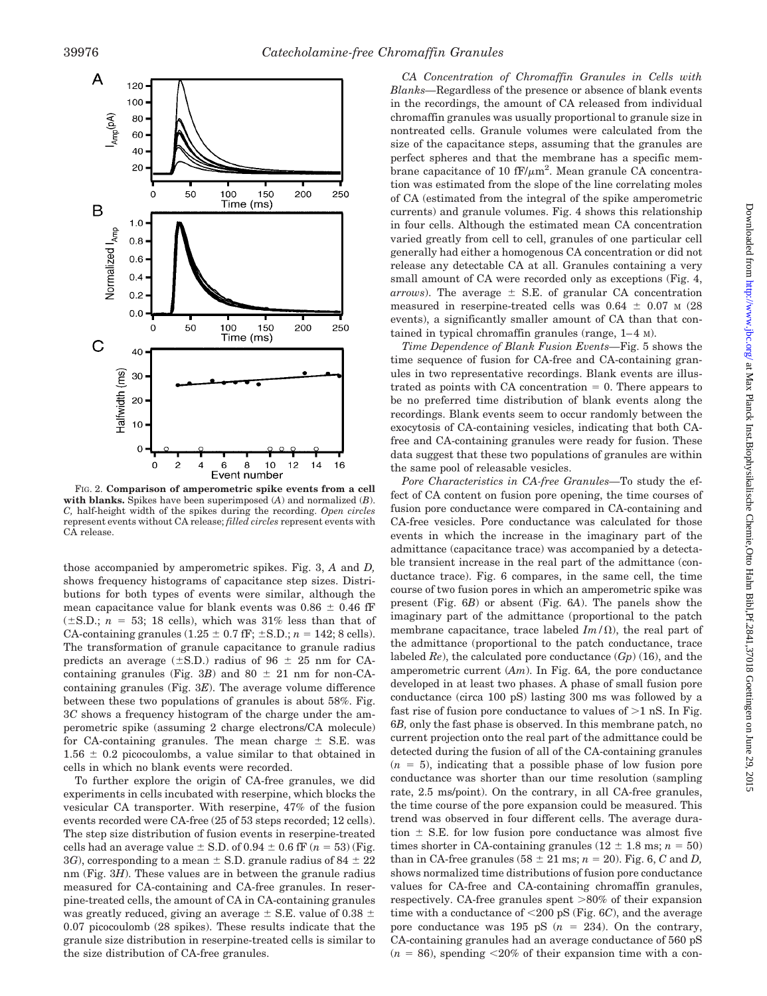

FIG. 2. **Comparison of amperometric spike events from a cell with blanks.** Spikes have been superimposed (*A*) and normalized (*B*). *C,* half-height width of the spikes during the recording. *Open circles* represent events without CA release; *filled circles* represent events with CA release.

those accompanied by amperometric spikes. Fig. 3, *A* and *D,* shows frequency histograms of capacitance step sizes. Distributions for both types of events were similar, although the mean capacitance value for blank events was  $0.86 \pm 0.46$  fF  $(\pm S.D.; n = 53; 18$  cells), which was 31% less than that of CA-containing granules  $(1.25 \pm 0.7 \text{ fF}; \pm S.D.; n = 142; 8 \text{ cells}).$ The transformation of granule capacitance to granule radius predicts an average  $(\pm S.D.)$  radius of 96  $\pm$  25 nm for CAcontaining granules (Fig. 3*B*) and  $80 \pm 21$  nm for non-CAcontaining granules (Fig. 3*E*). The average volume difference between these two populations of granules is about 58%. Fig. 3*C* shows a frequency histogram of the charge under the amperometric spike (assuming 2 charge electrons/CA molecule) for CA-containing granules. The mean charge  $\pm$  S.E. was  $1.56 \pm 0.2$  picocoulombs, a value similar to that obtained in cells in which no blank events were recorded.

To further explore the origin of CA-free granules, we did experiments in cells incubated with reserpine, which blocks the vesicular CA transporter. With reserpine, 47% of the fusion events recorded were CA-free (25 of 53 steps recorded; 12 cells). The step size distribution of fusion events in reserpine-treated cells had an average value  $\pm$  S.D. of 0.94  $\pm$  0.6 fF ( $n = 53$ ) (Fig. 3*G*), corresponding to a mean  $\pm$  S.D. granule radius of 84  $\pm$  22 nm (Fig. 3*H*). These values are in between the granule radius measured for CA-containing and CA-free granules. In reserpine-treated cells, the amount of CA in CA-containing granules was greatly reduced, giving an average  $\pm$  S.E. value of 0.38  $\pm$ 0.07 picocoulomb (28 spikes). These results indicate that the granule size distribution in reserpine-treated cells is similar to the size distribution of CA-free granules.

*CA Concentration of Chromaffin Granules in Cells with Blanks—*Regardless of the presence or absence of blank events in the recordings, the amount of CA released from individual chromaffin granules was usually proportional to granule size in nontreated cells. Granule volumes were calculated from the size of the capacitance steps, assuming that the granules are perfect spheres and that the membrane has a specific membrane capacitance of 10  $fF/\mu m^2$ . Mean granule CA concentration was estimated from the slope of the line correlating moles of CA (estimated from the integral of the spike amperometric currents) and granule volumes. Fig. 4 shows this relationship in four cells. Although the estimated mean CA concentration varied greatly from cell to cell, granules of one particular cell generally had either a homogenous CA concentration or did not release any detectable CA at all. Granules containing a very small amount of CA were recorded only as exceptions (Fig. 4, *arrows*). The average  $\pm$  S.E. of granular CA concentration measured in reserpine-treated cells was  $0.64 \pm 0.07$  M (28 events), a significantly smaller amount of CA than that contained in typical chromaffin granules (range, 1–4 M).

*Time Dependence of Blank Fusion Events—*Fig. 5 shows the time sequence of fusion for CA-free and CA-containing granules in two representative recordings. Blank events are illus $trated$  as points with  $CA$  concentration  $= 0$ . There appears to be no preferred time distribution of blank events along the recordings. Blank events seem to occur randomly between the exocytosis of CA-containing vesicles, indicating that both CAfree and CA-containing granules were ready for fusion. These data suggest that these two populations of granules are within the same pool of releasable vesicles.

*Pore Characteristics in CA-free Granules—*To study the effect of CA content on fusion pore opening, the time courses of fusion pore conductance were compared in CA-containing and CA-free vesicles. Pore conductance was calculated for those events in which the increase in the imaginary part of the admittance (capacitance trace) was accompanied by a detectable transient increase in the real part of the admittance (conductance trace). Fig. 6 compares, in the same cell, the time course of two fusion pores in which an amperometric spike was present (Fig. 6*B*) or absent (Fig. 6*A*). The panels show the imaginary part of the admittance (proportional to the patch membrane capacitance, trace labeled  $Im/\Omega$ ), the real part of the admittance (proportional to the patch conductance, trace labeled *Re*), the calculated pore conductance (*Gp*) (16), and the amperometric current (*Am*). In Fig. 6*A,* the pore conductance developed in at least two phases. A phase of small fusion pore conductance (circa 100 pS) lasting 300 ms was followed by a fast rise of fusion pore conductance to values of  $>1$  nS. In Fig. 6*B,* only the fast phase is observed. In this membrane patch, no current projection onto the real part of the admittance could be detected during the fusion of all of the CA-containing granules  $(n = 5)$ , indicating that a possible phase of low fusion pore conductance was shorter than our time resolution (sampling rate, 2.5 ms/point). On the contrary, in all CA-free granules, the time course of the pore expansion could be measured. This trend was observed in four different cells. The average duration  $\pm$  S.E. for low fusion pore conductance was almost five times shorter in CA-containing granules  $(12 \pm 1.8 \text{ ms}; n = 50)$ than in CA-free granules  $(58 \pm 21 \text{ ms}; n = 20)$ . Fig. 6, *C* and *D*, shows normalized time distributions of fusion pore conductance values for CA-free and CA-containing chromaffin granules, respectively. CA-free granules spent  $>80\%$  of their expansion time with a conductance of 200 pS (Fig. 6*C*), and the average pore conductance was  $195$  pS  $(n = 234)$ . On the contrary, CA-containing granules had an average conductance of 560 pS  $(n = 86)$ , spending  $\leq 20\%$  of their expansion time with a con-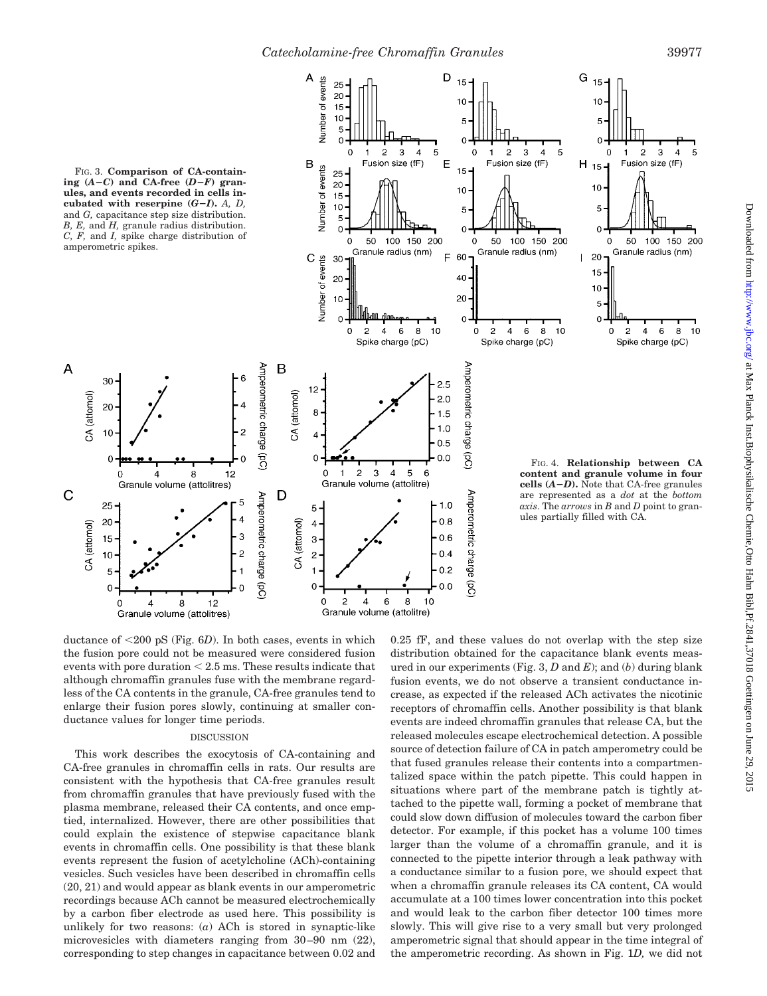5

10



ductance of 200 pS (Fig. 6*D*). In both cases, events in which the fusion pore could not be measured were considered fusion events with pore duration  $\leq 2.5$  ms. These results indicate that although chromaffin granules fuse with the membrane regardless of the CA contents in the granule, CA-free granules tend to enlarge their fusion pores slowly, continuing at smaller conductance values for longer time periods.

#### DISCUSSION

This work describes the exocytosis of CA-containing and CA-free granules in chromaffin cells in rats. Our results are consistent with the hypothesis that CA-free granules result from chromaffin granules that have previously fused with the plasma membrane, released their CA contents, and once emptied, internalized. However, there are other possibilities that could explain the existence of stepwise capacitance blank events in chromaffin cells. One possibility is that these blank events represent the fusion of acetylcholine (ACh)-containing vesicles. Such vesicles have been described in chromaffin cells (20, 21) and would appear as blank events in our amperometric recordings because ACh cannot be measured electrochemically by a carbon fiber electrode as used here. This possibility is unlikely for two reasons: (*a*) ACh is stored in synaptic-like microvesicles with diameters ranging from 30–90 nm (22), corresponding to step changes in capacitance between 0.02 and

0.25 fF, and these values do not overlap with the step size distribution obtained for the capacitance blank events measured in our experiments (Fig. 3, *D* and *E*); and (*b*) during blank fusion events, we do not observe a transient conductance increase, as expected if the released ACh activates the nicotinic receptors of chromaffin cells. Another possibility is that blank events are indeed chromaffin granules that release CA, but the released molecules escape electrochemical detection. A possible source of detection failure of CA in patch amperometry could be that fused granules release their contents into a compartmentalized space within the patch pipette. This could happen in situations where part of the membrane patch is tightly attached to the pipette wall, forming a pocket of membrane that could slow down diffusion of molecules toward the carbon fiber detector. For example, if this pocket has a volume 100 times larger than the volume of a chromaffin granule, and it is connected to the pipette interior through a leak pathway with a conductance similar to a fusion pore, we should expect that when a chromaffin granule releases its CA content, CA would accumulate at a 100 times lower concentration into this pocket and would leak to the carbon fiber detector 100 times more slowly. This will give rise to a very small but very prolonged amperometric signal that should appear in the time integral of the amperometric recording. As shown in Fig. 1*D,* we did not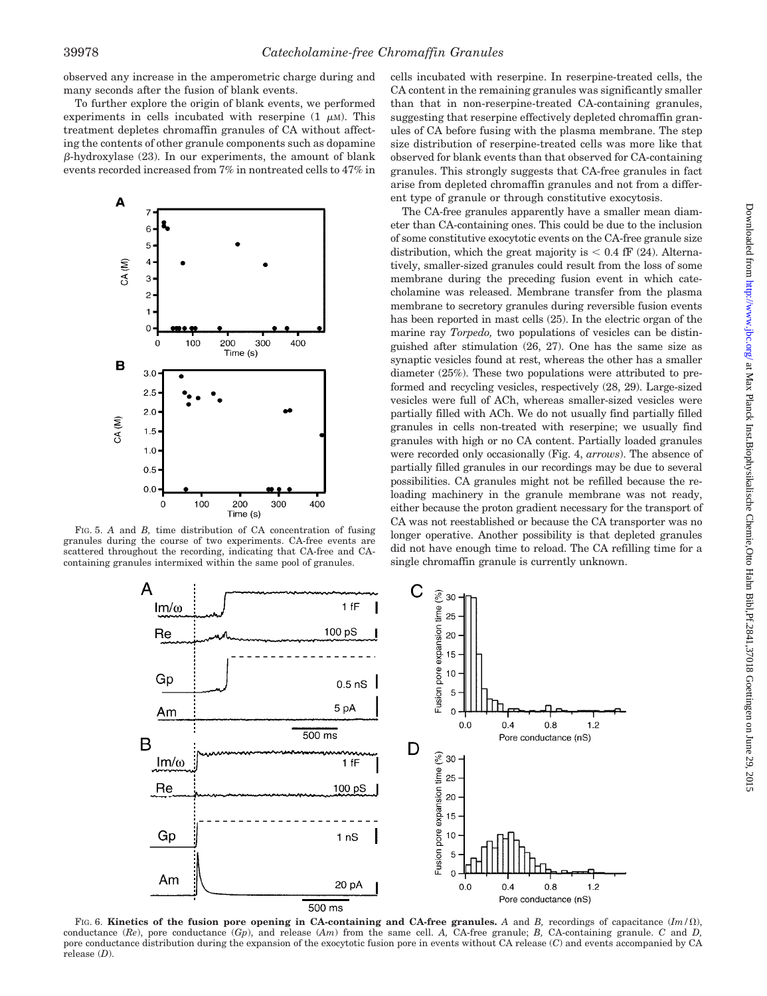observed any increase in the amperometric charge during and many seconds after the fusion of blank events.

To further explore the origin of blank events, we performed experiments in cells incubated with reserpine  $(1 \mu M)$ . This treatment depletes chromaffin granules of CA without affecting the contents of other granule components such as dopamine  $\beta$ -hydroxylase (23). In our experiments, the amount of blank events recorded increased from 7% in nontreated cells to 47% in



FIG. 5. *A* and *B,* time distribution of CA concentration of fusing granules during the course of two experiments. CA-free events are scattered throughout the recording, indicating that CA-free and CAcontaining granules intermixed within the same pool of granules.

cells incubated with reserpine. In reserpine-treated cells, the CA content in the remaining granules was significantly smaller than that in non-reserpine-treated CA-containing granules, suggesting that reserpine effectively depleted chromaffin granules of CA before fusing with the plasma membrane. The step size distribution of reserpine-treated cells was more like that observed for blank events than that observed for CA-containing granules. This strongly suggests that CA-free granules in fact arise from depleted chromaffin granules and not from a different type of granule or through constitutive exocytosis.

The CA-free granules apparently have a smaller mean diameter than CA-containing ones. This could be due to the inclusion of some constitutive exocytotic events on the CA-free granule size distribution, which the great majority is  $< 0.4$  fF (24). Alternatively, smaller-sized granules could result from the loss of some membrane during the preceding fusion event in which catecholamine was released. Membrane transfer from the plasma membrane to secretory granules during reversible fusion events has been reported in mast cells (25). In the electric organ of the marine ray *Torpedo,* two populations of vesicles can be distinguished after stimulation (26, 27). One has the same size as synaptic vesicles found at rest, whereas the other has a smaller diameter (25%). These two populations were attributed to preformed and recycling vesicles, respectively (28, 29). Large-sized vesicles were full of ACh, whereas smaller-sized vesicles were partially filled with ACh. We do not usually find partially filled granules in cells non-treated with reserpine; we usually find granules with high or no CA content. Partially loaded granules were recorded only occasionally (Fig. 4, *arrows*). The absence of partially filled granules in our recordings may be due to several possibilities. CA granules might not be refilled because the reloading machinery in the granule membrane was not ready, either because the proton gradient necessary for the transport of CA was not reestablished or because the CA transporter was no longer operative. Another possibility is that depleted granules did not have enough time to reload. The CA refilling time for a single chromaffin granule is currently unknown.



FIG. 6. **Kinetics of the fusion pore opening in CA-containing and CA-free granules.** A and B, recordings of capacitance  $(Im/\Omega)$ , conductance (*Re*), pore conductance (*Gp*), and release (*Am*) from the same cell. *A,* CA-free granule; *B,* CA-containing granule. *C* and *D,* pore conductance distribution during the expansion of the exocytotic fusion pore in events without CA release (*C*) and events accompanied by CA release (*D*).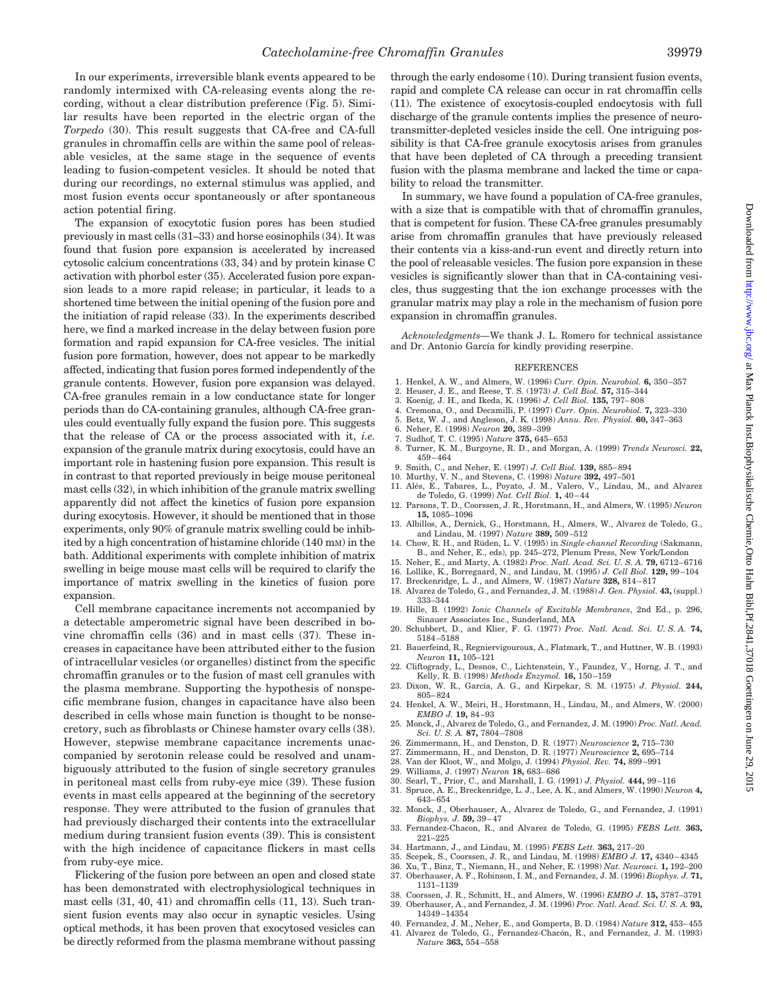In our experiments, irreversible blank events appeared to be randomly intermixed with CA-releasing events along the recording, without a clear distribution preference (Fig. 5). Similar results have been reported in the electric organ of the *Torpedo* (30). This result suggests that CA-free and CA-full granules in chromaffin cells are within the same pool of releasable vesicles, at the same stage in the sequence of events leading to fusion-competent vesicles. It should be noted that during our recordings, no external stimulus was applied, and most fusion events occur spontaneously or after spontaneous action potential firing.

The expansion of exocytotic fusion pores has been studied previously in mast cells (31–33) and horse eosinophils (34). It was found that fusion pore expansion is accelerated by increased cytosolic calcium concentrations (33, 34) and by protein kinase C activation with phorbol ester (35). Accelerated fusion pore expansion leads to a more rapid release; in particular, it leads to a shortened time between the initial opening of the fusion pore and the initiation of rapid release (33). In the experiments described here, we find a marked increase in the delay between fusion pore formation and rapid expansion for CA-free vesicles. The initial fusion pore formation, however, does not appear to be markedly affected, indicating that fusion pores formed independently of the granule contents. However, fusion pore expansion was delayed. CA-free granules remain in a low conductance state for longer periods than do CA-containing granules, although CA-free granules could eventually fully expand the fusion pore. This suggests that the release of CA or the process associated with it, *i.e.* expansion of the granule matrix during exocytosis, could have an important role in hastening fusion pore expansion. This result is in contrast to that reported previously in beige mouse peritoneal mast cells (32), in which inhibition of the granule matrix swelling apparently did not affect the kinetics of fusion pore expansion during exocytosis. However, it should be mentioned that in those experiments, only 90% of granule matrix swelling could be inhibited by a high concentration of histamine chloride (140 mM) in the bath. Additional experiments with complete inhibition of matrix swelling in beige mouse mast cells will be required to clarify the importance of matrix swelling in the kinetics of fusion pore expansion.

Cell membrane capacitance increments not accompanied by a detectable amperometric signal have been described in bovine chromaffin cells (36) and in mast cells (37). These increases in capacitance have been attributed either to the fusion of intracellular vesicles (or organelles) distinct from the specific chromaffin granules or to the fusion of mast cell granules with the plasma membrane. Supporting the hypothesis of nonspecific membrane fusion, changes in capacitance have also been described in cells whose main function is thought to be nonsecretory, such as fibroblasts or Chinese hamster ovary cells (38). However, stepwise membrane capacitance increments unaccompanied by serotonin release could be resolved and unambiguously attributed to the fusion of single secretory granules in peritoneal mast cells from ruby-eye mice (39). These fusion events in mast cells appeared at the beginning of the secretory response. They were attributed to the fusion of granules that had previously discharged their contents into the extracellular medium during transient fusion events (39). This is consistent with the high incidence of capacitance flickers in mast cells from ruby-eye mice.

Flickering of the fusion pore between an open and closed state has been demonstrated with electrophysiological techniques in mast cells (31, 40, 41) and chromaffin cells (11, 13). Such transient fusion events may also occur in synaptic vesicles. Using optical methods, it has been proven that exocytosed vesicles can be directly reformed from the plasma membrane without passing

through the early endosome (10). During transient fusion events, rapid and complete CA release can occur in rat chromaffin cells (11). The existence of exocytosis-coupled endocytosis with full discharge of the granule contents implies the presence of neurotransmitter-depleted vesicles inside the cell. One intriguing possibility is that CA-free granule exocytosis arises from granules that have been depleted of CA through a preceding transient fusion with the plasma membrane and lacked the time or capability to reload the transmitter.

In summary, we have found a population of CA-free granules, with a size that is compatible with that of chromaffin granules, that is competent for fusion. These CA-free granules presumably arise from chromaffin granules that have previously released their contents via a kiss-and-run event and directly return into the pool of releasable vesicles. The fusion pore expansion in these vesicles is significantly slower than that in CA-containing vesicles, thus suggesting that the ion exchange processes with the granular matrix may play a role in the mechanism of fusion pore expansion in chromaffin granules.

*Acknowledgments—*We thank J. L. Romero for technical assistance and Dr. Antonio García for kindly providing reserpine.

#### REFERENCES

- 1. Henkel, A. W., and Almers, W. (1996) *Curr. Opin. Neurobiol.* **6,** 350–357
- 2. Heuser, J. E., and Reese, T. S. (1973) *J. Cell Biol.* **57,** 315–344
- 3. Koenig, J. H., and Ikeda, K. (1996) *J. Cell Biol.* **135,** 797–808
- 4. Cremona, O., and Decamilli, P. (1997) *Curr. Opin. Neurobiol.* **7,** 323–330
- 5. Betz, W. J., and Angleson, J. K. (1998) *Annu. Rev. Physiol.* **60,** 347–363 6. Neher, E. (1998) *Neuron* **20,** 389–399
- 7. Sudhof, T. C. (1995) *Nature* **375,** 645–653
- 8. Turner, K. M., Burgoyne, R. D., and Morgan, A. (1999) *Trends Neurosci.* **22,** 459–464
- 9. Smith, C., and Neher, E. (1997) *J. Cell Biol.* **139,** 885–894
- 10. Murthy, V. N., and Stevens, C. (1998) *Nature* **392,** 497–501
- 11. Alés, E., Tabares, L., Poyato, J. M., Valero, V., Lindau, M., and Alvarez de Toledo, G. (1999) *Nat. Cell Biol.* **1,** 40–44
- 12. Parsons, T. D., Coorssen, J. R., Horstmann, H., and Almers, W. (1995) *Neuron* **15,** 1085–1096
- 13. Albillos, A., Dernick, G., Horstmann, H., Almers, W., Alvarez de Toledo, G., and Lindau, M. (1997) *Nature* **389,** 509–512
- 14. Chow, R. H., and Rüden, L. V. (1995) in *Single-channel Recording* (Sakmann,
- B., and Neher, E., eds), pp. 245–272, Plenum Press, New York/London 15. Neher, E., and Marty, A. (1982) *Proc. Natl. Acad. Sci. U. S. A.* **79,** 6712–6716
- 
- 16. Lollike, K., Borregaard, N., and Lindau, M. (1995) *J. Cell Biol.* **129,** 99–104 17. Breckenridge, L. J., and Almers, W. (1987) *Nature* **328,** 814–817
- 18. Alvarez de Toledo, G., and Fernandez, J. M. (1988) *J. Gen. Physiol.* **43,** (suppl.)
- 333–344 19. Hille, B. (1992) *Ionic Channels of Excitable Membranes*, 2nd Ed., p. 296,
- Sinauer Associates Inc., Sunderland, MA
- 20. Schubbert, D., and Klier, F. G. (1977) *Proc. Natl. Acad. Sci. U. S. A.* **74,** 5184–5188
- 21. Bauerfeind, R., Regniervigouroux, A., Flatmark, T., and Huttner, W. B. (1993) *Neuron* **11,** 105–121
- 22. Cliftogrady, L., Desnos, C., Lichtenstein, Y., Faundez, V., Horng, J. T., and Kelly, R. B. (1998) *Methods Enzymol.* **16,** 150–159
- 23. Dixon, W. R., Garcı´a, A. G., and Kirpekar, S. M. (1975) *J. Physiol.* **244,** 805–824
- 24. Henkel, A. W., Meiri, H., Horstmann, H., Lindau, M., and Almers, W. (2000) *EMBO J.* **19,** 84–93
- 25. Monck, J., Alvarez de Toledo, G., and Fernandez, J. M. (1990) *Proc. Natl. Acad. Sci. U. S. A.* **87,** 7804–7808
- 26. Zimmermann, H., and Denston, D. R. (1977) *Neuroscience* **2,** 715–730
- 27. Zimmermann, H., and Denston, D. R. (1977) *Neuroscience* **2,** 695–714
- 28. Van der Kloot, W., and Molgo, J. (1994) *Physiol. Rev.* **74,** 899–991
- 
- 29. Williams, J. (1997) *Neuron* **18,** 683–686 30. Searl, T., Prior, C., and Marshall, I. G. (1991) *J. Physiol.* **444,** 99–116
- 31. Spruce, A. E., Breckenridge, L. J., Lee, A. K., and Almers, W. (1990) *Neuron* **4,** 643–654
- 32. Monck, J., Oberhauser, A., Alvarez de Toledo, G., and Fernandez, J. (1991) *Biophys. J.* **59,** 39–47
- 33. Fernandez-Chacon, R., and Alvarez de Toledo, G. (1995) *FEBS Lett.* **363,** 221–225
- 34. Hartmann, J., and Lindau, M. (1995) *FEBS Lett.* **363,** 217–20
- 35. Scepek, S., Coorssen, J. R., and Lindau, M. (1998) *EMBO J.* **17,** 4340–4345
- 36. Xu, T., Binz, T., Niemann, H., and Neher, E. (1998) *Nat. Neurosci.* **1,** 192–200
- 37. Oberhauser, A. F., Robinson, I. M., and Fernandez, J. M. (1996) *Biophys. J.* **71,** 1131–1139
- 38. Coorssen, J. R., Schmitt, H., and Almers, W. (1996) *EMBO J.* **15,** 3787–3791 39. Oberhauser, A., and Fernandez, J. M. (1996) *Proc. Natl. Acad. Sci. U. S. A.* **93,**
- 14349–14354 40. Fernandez, J. M., Neher, E., and Gomperts, B. D. (1984) *Nature* **312,** 453–455
- 41. Alvarez de Toledo, G., Fernandez-Chacón, R., and Fernandez, J. M. (1993)
	- *Nature* **363,** 554–558

Downloaded from http://www.jbc.org/ at Max Planck Inst.Biophysikalische Chemie,Otto Hahn Bibl,Pf.2841,37018 Goettingen on June 29, 2015 Downloaded from <http://www.jbc.org/> at Max Planck Inst.Biophysikalische Chemie,Otto Hahn Bibl,Pf.2841,37018 Goettingen on June 29, 2015